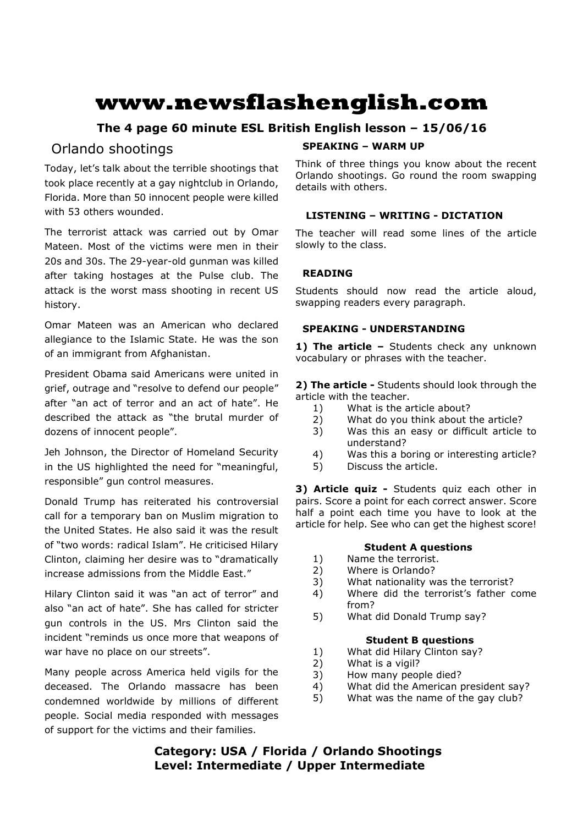# **www.newsflashenglish.com**

## **The 4 page 60 minute ESL British English lesson – 15/06/16**

# Orlando shootings

Today, let's talk about the terrible shootings that took place recently at a gay nightclub in Orlando, Florida. More than 50 innocent people were killed with 53 others wounded.

The terrorist attack was carried out by Omar Mateen. Most of the victims were men in their 20s and 30s. The 29-year-old gunman was killed after taking hostages at the Pulse club. The attack is the worst mass shooting in recent US history.

Omar Mateen was an American who declared allegiance to the Islamic State. He was the son of an immigrant from Afghanistan.

President Obama said Americans were united in grief, outrage and "resolve to defend our people" after "an act of terror and an act of hate". He described the attack as "the brutal murder of dozens of innocent people".

Jeh Johnson, the Director of Homeland Security in the US highlighted the need for "meaningful, responsible" gun control measures.

Donald Trump has reiterated his controversial call for a temporary ban on Muslim migration to the United States. He also said it was the result of "two words: radical Islam". He criticised Hilary Clinton, claiming her desire was to "dramatically increase admissions from the Middle East."

Hilary Clinton said it was "an act of terror" and also "an act of hate". She has called for stricter gun controls in the US. Mrs Clinton said the incident "reminds us once more that weapons of war have no place on our streets".

Many people across America held vigils for the deceased. The Orlando massacre has been condemned worldwide by millions of different people. Social media responded with messages of support for the victims and their families.

#### **SPEAKING – WARM UP**

Think of three things you know about the recent Orlando shootings. Go round the room swapping details with others.

### **LISTENING – WRITING - DICTATION**

The teacher will read some lines of the article slowly to the class.

### **READING**

Students should now read the article aloud, swapping readers every paragraph.

### **SPEAKING - UNDERSTANDING**

1) The article - Students check any unknown vocabulary or phrases with the teacher.

**2) The article -** Students should look through the article with the teacher.

- 1) What is the article about?
- 2) What do you think about the article?
- 3) Was this an easy or difficult article to understand?
- 4) Was this a boring or interesting article?
- 5) Discuss the article.

**3) Article quiz -** Students quiz each other in pairs. Score a point for each correct answer. Score half a point each time you have to look at the article for help. See who can get the highest score!

### **Student A questions**

- 1) Name the terrorist.
- 2) Where is Orlando?
- 3) What nationality was the terrorist?
- 4) Where did the terrorist's father come from?
- 5) What did Donald Trump say?

#### **Student B questions**

- 1) What did Hilary Clinton say?
- 2) What is a vigil?
- 3) How many people died?
- 4) What did the American president say?
- 5) What was the name of the gay club?

**Category: USA / Florida / Orlando Shootings Level: Intermediate / Upper Intermediate**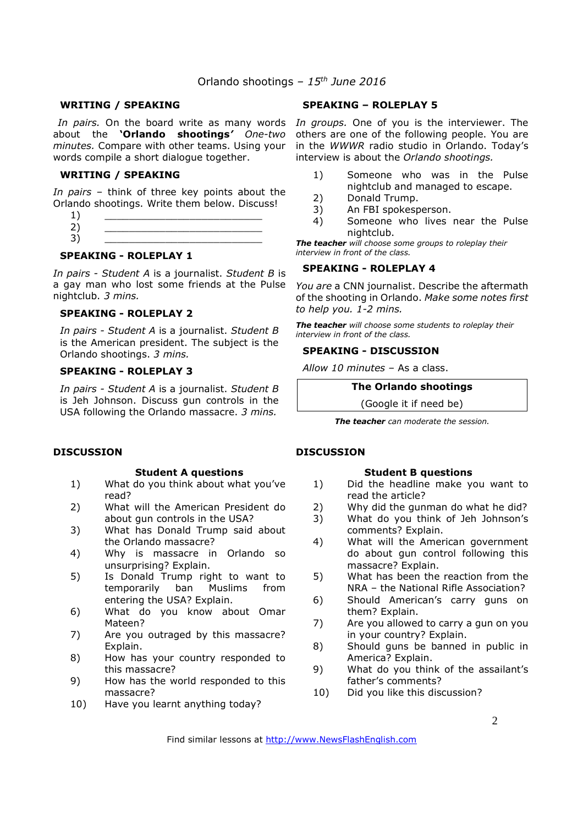#### **WRITING / SPEAKING**

about the **'Orlando shootings***' One-two minutes.* Compare with other teams. Using your words compile a short dialogue together.

#### **WRITING / SPEAKING**

*In pairs* – think of three key points about the Orlando shootings. Write them below. Discuss!

- $1)$   $\qquad \qquad$
- 2) \_\_\_\_\_\_\_\_\_\_\_\_\_\_\_\_\_\_\_\_\_\_\_\_\_\_ 3) \_\_\_\_\_\_\_\_\_\_\_\_\_\_\_\_\_\_\_\_\_\_\_\_\_\_

#### **SPEAKING - ROLEPLAY 1**

*In pairs - Student A* is a journalist. *Student B* is a gay man who lost some friends at the Pulse nightclub. *3 mins.* 

#### **SPEAKING - ROLEPLAY 2**

*In pairs - Student A* is a journalist. *Student B* is the American president. The subject is the Orlando shootings. *3 mins.* 

#### **SPEAKING - ROLEPLAY 3**

*In pairs - Student A* is a journalist. *Student B* is Jeh Johnson. Discuss gun controls in the USA following the Orlando massacre. *3 mins.*

#### **DISCUSSION**

#### **Student A questions**

- 1) What do you think about what you've read?
- 2) What will the American President do about gun controls in the USA?
- 3) What has Donald Trump said about the Orlando massacre?
- 4) Why is massacre in Orlando so unsurprising? Explain.
- 5) Is Donald Trump right to want to temporarily ban Muslims from entering the USA? Explain.
- 6) What do you know about Omar Mateen?
- 7) Are you outraged by this massacre? Explain.
- 8) How has your country responded to this massacre?
- 9) How has the world responded to this massacre?
- 10) Have you learnt anything today?

#### **SPEAKING – ROLEPLAY 5**

In pairs. On the board write as many words In groups. One of you is the interviewer. The others are one of the following people. You are in the *WWWR* radio studio in Orlando. Today's interview is about the *Orlando shootings.*

- 1) Someone who was in the Pulse nightclub and managed to escape.
- 2) Donald Trump.
- 3) An FBI spokesperson.
- 4) Someone who lives near the Pulse nightclub.

*The teacher will choose some groups to roleplay their interview in front of the class.* 

#### **SPEAKING - ROLEPLAY 4**

*You are* a CNN journalist. Describe the aftermath of the shooting in Orlando. *Make some notes first to help you. 1-2 mins.* 

*The teacher will choose some students to roleplay their interview in front of the class.* 

#### **SPEAKING - DISCUSSION**

*Allow 10 minutes* – As a class.

**The Orlando shootings** 

(Google it if need be)

*The teacher can moderate the session.*

#### **DISCUSSION**

#### **Student B questions**

- 1) Did the headline make you want to read the article?
- 2) Why did the gunman do what he did?
- 3) What do you think of Jeh Johnson's comments? Explain.
- 4) What will the American government do about gun control following this massacre? Explain.
- 5) What has been the reaction from the NRA – the National Rifle Association?
- 6) Should American's carry guns on them? Explain.
- 7) Are you allowed to carry a gun on you in your country? Explain.
- 8) Should guns be banned in public in America? Explain.
- 9) What do you think of the assailant's father's comments?
- 10) Did you like this discussion?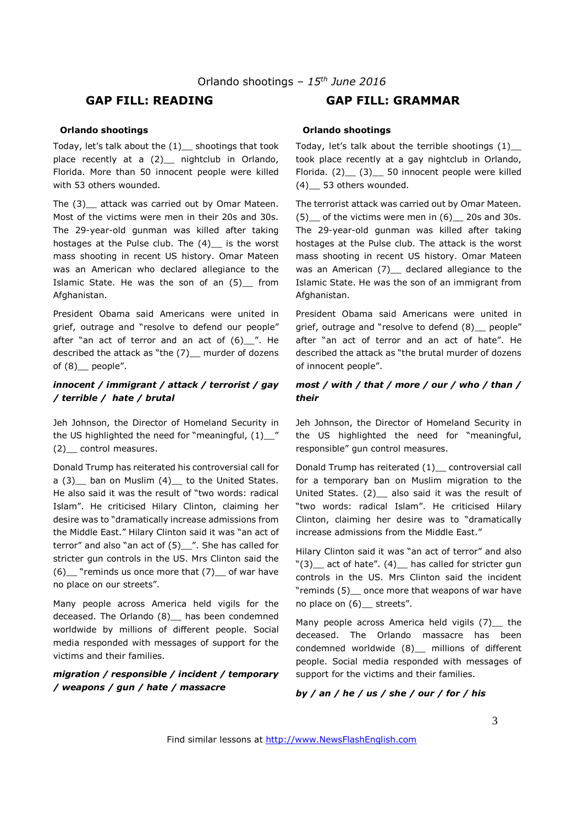### **GAP FILL: READING GAP FILL: GRAMMAR**

#### **Orlando shootings**

Today, let's talk about the (1)\_\_ shootings that took place recently at a (2) \_ nightclub in Orlando, Florida. More than 50 innocent people were killed with 53 others wounded.

The (3)\_\_ attack was carried out by Omar Mateen. Most of the victims were men in their 20s and 30s. The 29-year-old gunman was killed after taking hostages at the Pulse club. The (4) is the worst mass shooting in recent US history. Omar Mateen was an American who declared allegiance to the Islamic State. He was the son of an (5)\_\_ from Afghanistan.

President Obama said Americans were united in grief, outrage and "resolve to defend our people" after "an act of terror and an act of  $(6)$  ". He described the attack as "the (7)\_\_ murder of dozens of  $(8)$  people".

#### *innocent / immigrant / attack / terrorist / gay / terrible / hate / brutal*

Jeh Johnson, the Director of Homeland Security in the US highlighted the need for "meaningful,  $(1)$ \_" (2)\_\_ control measures.

Donald Trump has reiterated his controversial call for a (3) ban on Muslim (4) to the United States. He also said it was the result of "two words: radical Islam". He criticised Hilary Clinton, claiming her desire was to "dramatically increase admissions from the Middle East." Hilary Clinton said it was "an act of terror" and also "an act of (5)\_\_". She has called for stricter gun controls in the US. Mrs Clinton said the  $(6)$  "reminds us once more that  $(7)$  of war have no place on our streets".

Many people across America held vigils for the deceased. The Orlando (8) has been condemned worldwide by millions of different people. Social media responded with messages of support for the victims and their families.

#### *migration / responsible / incident / temporary / weapons / gun / hate / massacre*

#### **Orlando shootings**

Today, let's talk about the terrible shootings (1)\_\_ took place recently at a gay nightclub in Orlando, Florida. (2)\_\_ (3)\_\_ 50 innocent people were killed (4)\_\_ 53 others wounded.

The terrorist attack was carried out by Omar Mateen.  $(5)$  of the victims were men in  $(6)$  20s and 30s. The 29-year-old gunman was killed after taking hostages at the Pulse club. The attack is the worst mass shooting in recent US history. Omar Mateen was an American (7) declared allegiance to the Islamic State. He was the son of an immigrant from Afghanistan.

President Obama said Americans were united in grief, outrage and "resolve to defend (8) people" after "an act of terror and an act of hate". He described the attack as "the brutal murder of dozens of innocent people".

#### *most / with / that / more / our / who / than / their*

Jeh Johnson, the Director of Homeland Security in the US highlighted the need for "meaningful, responsible" gun control measures.

Donald Trump has reiterated (1)\_\_ controversial call for a temporary ban on Muslim migration to the United States. (2) also said it was the result of "two words: radical Islam". He criticised Hilary Clinton, claiming her desire was to "dramatically increase admissions from the Middle East."

Hilary Clinton said it was "an act of terror" and also " $(3)$  act of hate".  $(4)$  has called for stricter gun controls in the US. Mrs Clinton said the incident "reminds (5)\_\_ once more that weapons of war have no place on (6)\_\_ streets".

Many people across America held vigils (7) the deceased. The Orlando massacre has been condemned worldwide (8)\_\_ millions of different people. Social media responded with messages of support for the victims and their families.

#### *by / an / he / us / she / our / for / his*